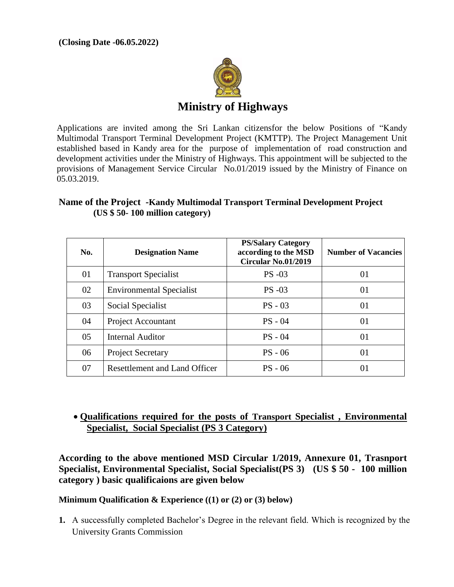

Applications are invited among the Sri Lankan citizensfor the below Positions of "Kandy Multimodal Transport Terminal Development Project (KMTTP). The Project Management Unit established based in Kandy area for the purpose of implementation of road construction and development activities under the Ministry of Highways. This appointment will be subjected to the provisions of Management Service Circular No.01/2019 issued by the Ministry of Finance on 05.03.2019.

| Name of the Project -Kandy Multimodal Transport Terminal Development Project |  |
|------------------------------------------------------------------------------|--|
| $(US $ 50-100$ million category)                                             |  |

| No. | <b>Designation Name</b>              | <b>PS/Salary Category</b><br>according to the MSD<br><b>Circular No.01/2019</b> | <b>Number of Vacancies</b> |
|-----|--------------------------------------|---------------------------------------------------------------------------------|----------------------------|
| 01  | <b>Transport Specialist</b>          | <b>PS-03</b>                                                                    | 01                         |
| 02  | <b>Environmental Specialist</b>      | <b>PS</b> -03                                                                   | 01                         |
| 03  | Social Specialist                    | $PS - 03$                                                                       | 01                         |
| 04  | <b>Project Accountant</b>            | $PS - 04$                                                                       | 01                         |
| 05  | <b>Internal Auditor</b>              | $PS - 04$                                                                       | 01                         |
| 06  | <b>Project Secretary</b>             | $PS - 06$                                                                       | 01                         |
| 07  | <b>Resettlement and Land Officer</b> | $PS - 06$                                                                       | 01                         |

# **Qualifications required for the posts of Transport Specialist , Environmental Specialist, Social Specialist (PS 3 Category)**

**According to the above mentioned MSD Circular 1/2019, Annexure 01, Trasnport Specialist, Environmental Specialist, Social Specialist(PS 3) (US \$ 50 - 100 million category ) basic qualificaions are given below** 

**Minimum Qualification & Experience ((1) or (2) or (3) below)**

**1.** A successfully completed Bachelor's Degree in the relevant field. Which is recognized by the University Grants Commission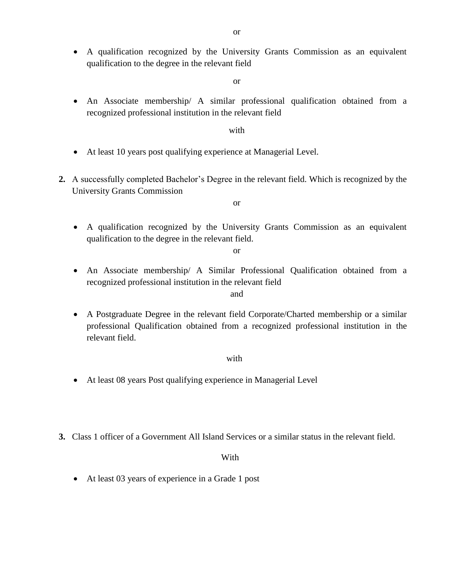A qualification recognized by the University Grants Commission as an equivalent qualification to the degree in the relevant field

or

 An Associate membership/ A similar professional qualification obtained from a recognized professional institution in the relevant field

#### with

- At least 10 years post qualifying experience at Managerial Level.
- **2.** A successfully completed Bachelor's Degree in the relevant field. Which is recognized by the University Grants Commission

or

 A qualification recognized by the University Grants Commission as an equivalent qualification to the degree in the relevant field.

or

 An Associate membership/ A Similar Professional Qualification obtained from a recognized professional institution in the relevant field

#### and

 A Postgraduate Degree in the relevant field Corporate/Charted membership or a similar professional Qualification obtained from a recognized professional institution in the relevant field.

#### with

- At least 08 years Post qualifying experience in Managerial Level
- **3.** Class 1 officer of a Government All Island Services or a similar status in the relevant field.

#### With

At least 03 years of experience in a Grade 1 post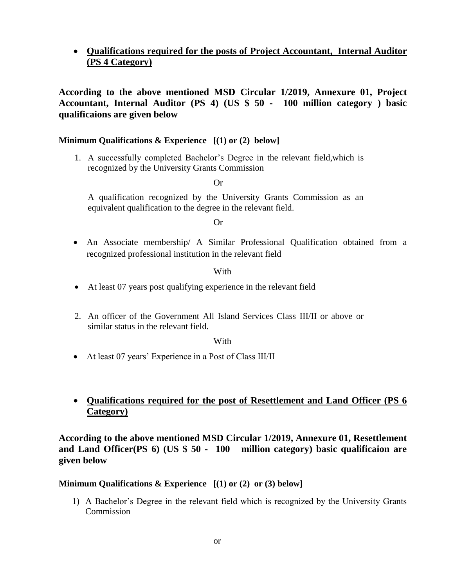# **Qualifications required for the posts of Project Accountant, Internal Auditor (PS 4 Category)**

**According to the above mentioned MSD Circular 1/2019, Annexure 01, Project Accountant, Internal Auditor (PS 4) (US \$ 50 - 100 million category ) basic qualificaions are given below** 

# **Minimum Qualifications & Experience [(1) or (2) below]**

1. A successfully completed Bachelor's Degree in the relevant field,which is recognized by the University Grants Commission

Or

A qualification recognized by the University Grants Commission as an equivalent qualification to the degree in the relevant field.

Or

 An Associate membership/ A Similar Professional Qualification obtained from a recognized professional institution in the relevant field

## With

- At least 07 years post qualifying experience in the relevant field
- 2. An officer of the Government All Island Services Class III/II or above or similar status in the relevant field.

#### With

At least 07 years' Experience in a Post of Class III/II

# **Qualifications required for the post of Resettlement and Land Officer (PS 6 Category)**

**According to the above mentioned MSD Circular 1/2019, Annexure 01, Resettlement and Land Officer(PS 6) (US \$ 50 - 100 million category) basic qualificaion are given below** 

## **Minimum Qualifications & Experience [(1) or (2) or (3) below]**

1) A Bachelor's Degree in the relevant field which is recognized by the University Grants **Commission**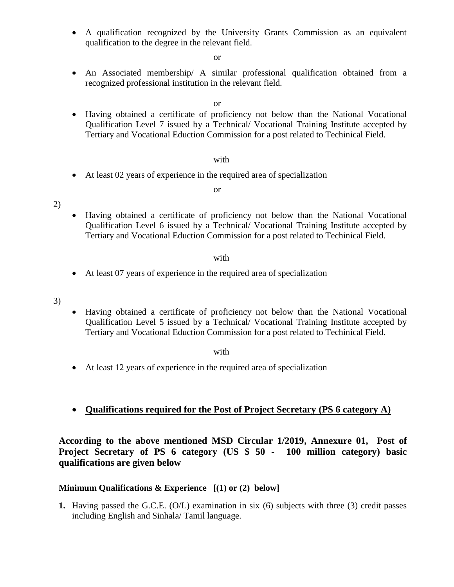A qualification recognized by the University Grants Commission as an equivalent qualification to the degree in the relevant field.

or

 An Associated membership/ A similar professional qualification obtained from a recognized professional institution in the relevant field.

or

 Having obtained a certificate of proficiency not below than the National Vocational Qualification Level 7 issued by a Technical/ Vocational Training Institute accepted by Tertiary and Vocational Eduction Commission for a post related to Techinical Field.

#### with

At least 02 years of experience in the required area of specialization

#### or

2)

 Having obtained a certificate of proficiency not below than the National Vocational Qualification Level 6 issued by a Technical/ Vocational Training Institute accepted by Tertiary and Vocational Eduction Commission for a post related to Techinical Field.

#### with

- At least 07 years of experience in the required area of specialization
- 3)
- Having obtained a certificate of proficiency not below than the National Vocational Qualification Level 5 issued by a Technical/ Vocational Training Institute accepted by Tertiary and Vocational Eduction Commission for a post related to Techinical Field.

with

- At least 12 years of experience in the required area of specialization
- **Qualifications required for the Post of Project Secretary (PS 6 category A)**

**According to the above mentioned MSD Circular 1/2019, Annexure 01, Post of Project Secretary of PS 6 category (US \$ 50 - 100 million category) basic qualifications are given below** 

## **Minimum Qualifications & Experience [(1) or (2) below]**

**1.** Having passed the G.C.E. (O/L) examination in six (6) subjects with three (3) credit passes including English and Sinhala/ Tamil language.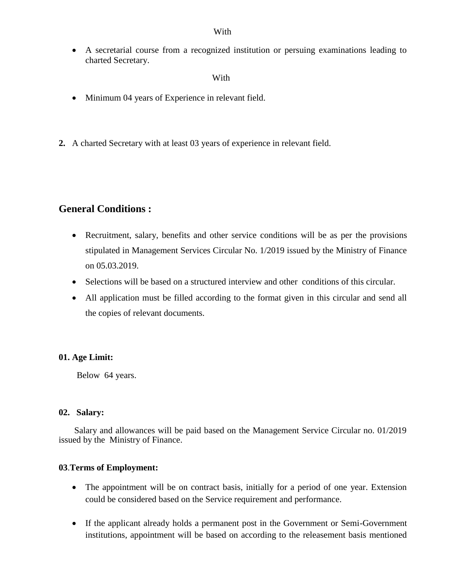With

 A secretarial course from a recognized institution or persuing examinations leading to charted Secretary.

With **With** 

- Minimum 04 years of Experience in relevant field.
- **2.** A charted Secretary with at least 03 years of experience in relevant field.

# **General Conditions :**

- Recruitment, salary, benefits and other service conditions will be as per the provisions stipulated in Management Services Circular No. 1/2019 issued by the Ministry of Finance on 05.03.2019.
- Selections will be based on a structured interview and other conditions of this circular.
- All application must be filled according to the format given in this circular and send all the copies of relevant documents.

## **01. Age Limit:**

Below 64 years.

## **02. Salary:**

 Salary and allowances will be paid based on the Management Service Circular no. 01/2019 issued by the Ministry of Finance.

## **03**.**Terms of Employment:**

- The appointment will be on contract basis, initially for a period of one year. Extension could be considered based on the Service requirement and performance.
- If the applicant already holds a permanent post in the Government or Semi-Government institutions, appointment will be based on according to the releasement basis mentioned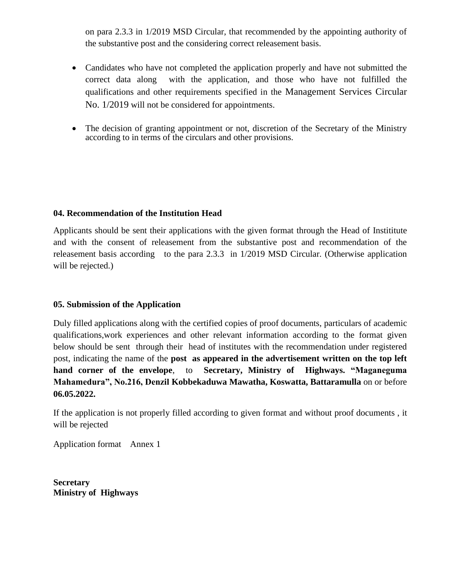on para 2.3.3 in 1/2019 MSD Circular, that recommended by the appointing authority of the substantive post and the considering correct releasement basis.

- Candidates who have not completed the application properly and have not submitted the correct data along with the application, and those who have not fulfilled the qualifications and other requirements specified in the Management Services Circular No. 1/2019 will not be considered for appointments.
- The decision of granting appointment or not, discretion of the Secretary of the Ministry according to in terms of the circulars and other provisions.

# **04. Recommendation of the Institution Head**

Applicants should be sent their applications with the given format through the Head of Instititute and with the consent of releasement from the substantive post and recommendation of the releasement basis according to the para 2.3.3 in 1/2019 MSD Circular. (Otherwise application will be rejected.)

# **05. Submission of the Application**

Duly filled applications along with the certified copies of proof documents, particulars of academic qualifications,work experiences and other relevant information according to the format given below should be sent through their head of institutes with the recommendation under registered post, indicating the name of the **post as appeared in the advertisement written on the top left hand corner of the envelope**, to **Secretary, Ministry of Highways. "Maganeguma Mahamedura", No.216, Denzil Kobbekaduwa Mawatha, Koswatta, Battaramulla** on or before **06.05.2022.**

If the application is not properly filled according to given format and without proof documents , it will be rejected

Application format Annex 1

**Secretary Ministry of Highways**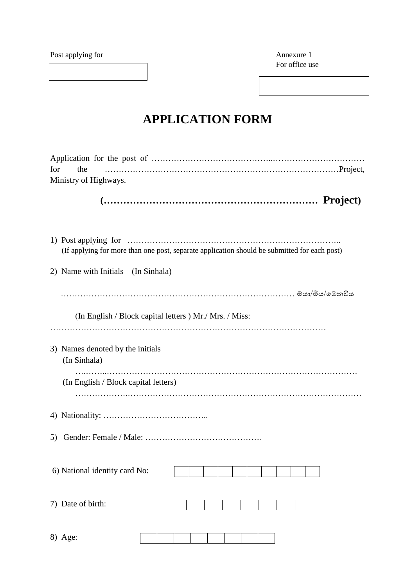Post applying for Annexure 1

For office use

# **APPLICATION FORM**

| for<br>the<br>Ministry of Highways.                                                          |
|----------------------------------------------------------------------------------------------|
|                                                                                              |
| (If applying for more than one post, separate application should be submitted for each post) |
| 2) Name with Initials (In Sinhala)                                                           |
|                                                                                              |
| (In English / Block capital letters ) Mr./ Mrs. / Miss:                                      |
| 3) Names denoted by the initials<br>(In Sinhala)                                             |
| (In English / Block capital letters)                                                         |
|                                                                                              |
| 5)                                                                                           |
| 6) National identity card No:                                                                |
| 7) Date of birth:                                                                            |
| 8) Age:                                                                                      |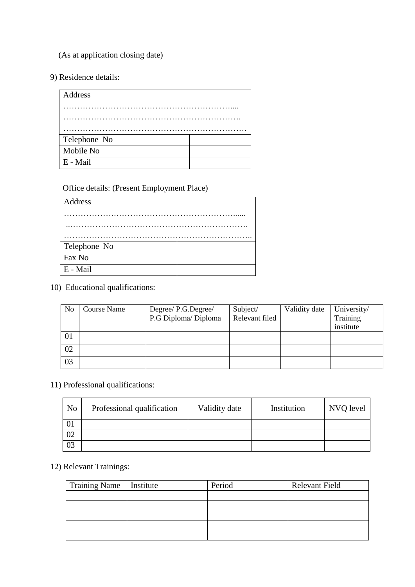(As at application closing date)

9) Residence details:

| Address      |  |
|--------------|--|
|              |  |
|              |  |
|              |  |
| Telephone No |  |
| Mobile No    |  |
| E - Mail     |  |

Office details: (Present Employment Place)

| Address      |  |
|--------------|--|
|              |  |
|              |  |
|              |  |
| Telephone No |  |
| Fax No       |  |
| E - Mail     |  |

10) Educational qualifications:

| N <sub>0</sub> | <b>Course Name</b> | Degree/ P.G.Degree/  | Subject/       | Validity date | University/ |
|----------------|--------------------|----------------------|----------------|---------------|-------------|
|                |                    | P.G Diploma/ Diploma | Relevant filed |               | Training    |
|                |                    |                      |                |               | institute   |
| 01             |                    |                      |                |               |             |
| 02             |                    |                      |                |               |             |
| 03             |                    |                      |                |               |             |

11) Professional qualifications:

| N <sub>o</sub> | Professional qualification | Validity date | Institution | NVQ level |
|----------------|----------------------------|---------------|-------------|-----------|
| UI             |                            |               |             |           |
| 02             |                            |               |             |           |
| 03             |                            |               |             |           |

# 12) Relevant Trainings:

| <b>Training Name</b> | Institute | Period | <b>Relevant Field</b> |
|----------------------|-----------|--------|-----------------------|
|                      |           |        |                       |
|                      |           |        |                       |
|                      |           |        |                       |
|                      |           |        |                       |
|                      |           |        |                       |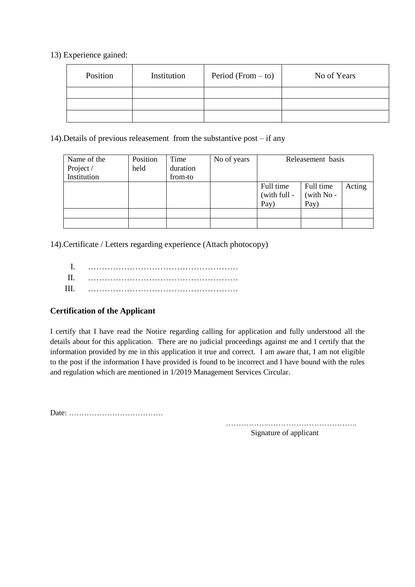13) Experience gained:

| Position | Institution | Period (From $-$ to) | No of Years |
|----------|-------------|----------------------|-------------|
|          |             |                      |             |
|          |             |                      |             |
|          |             |                      |             |

14).Details of previous releasement from the substantive post – if any

| Name of the | Position | Time     | No of years | Releasement basis |            |        |
|-------------|----------|----------|-------------|-------------------|------------|--------|
| Project /   | held     | duration |             |                   |            |        |
| Institution |          | from-to  |             |                   |            |        |
|             |          |          |             | Full time         | Full time  | Acting |
|             |          |          |             | (with full -      | (with No - |        |
|             |          |          |             | Pay)              | Pay)       |        |
|             |          |          |             |                   |            |        |
|             |          |          |             |                   |            |        |

14).Certificate / Letters regarding experience (Attach photocopy)

| Ш |  |
|---|--|

# **Certification of the Applicant**

I certify that I have read the Notice regarding calling for application and fully understood all the details about for this application. There are no judicial proceedings against me and I certify that the information provided by me in this application it true and correct. I am aware that, I am not eligible to the post if the information I have provided is found to be incorrect and I have bound with the rules and regulation which are mentioned in 1/2019 Management Services Circular.

Date: ……………………………….

……………..……………………………..

Signature of applicant